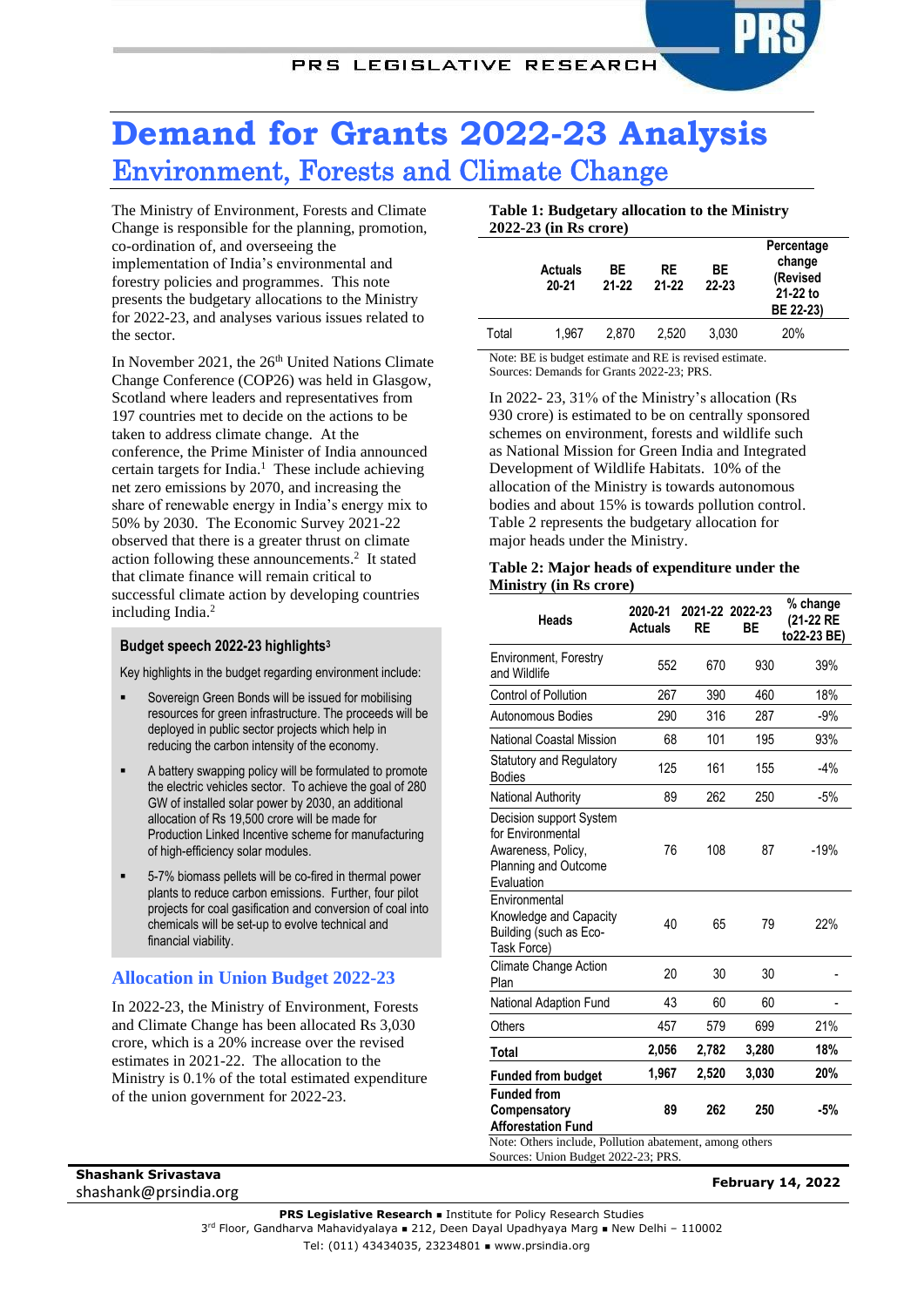# **Demand for Grants 2022-23 Analysis** Environment, Forests and Climate Change

The Ministry of Environment, Forests and Climate Change is responsible for the planning, promotion, co-ordination of, and overseeing the implementation of India's environmental and forestry policies and programmes. This note presents the budgetary allocations to the Ministry for 2022-23, and analyses various issues related to the sector.

<span id="page-0-2"></span>In November 2021, the 26<sup>th</sup> United Nations Climate Change Conference (COP26) was held in Glasgow, Scotland where leaders and representatives from 197 countries met to decide on the actions to be taken to address climate change. At the conference, the Prime Minister of India announced certain targets for India.<sup>1</sup> These include achieving net zero emissions by 2070, and increasing the share of renewable energy in India's energy mix to 50% by 2030. The Economic Survey 2021-22 observed that there is a greater thrust on climate action following these announcements. 2 It stated that climate finance will remain critical to successful climate action by developing countries including India[.](#page-0-0)<sup>2</sup>

#### **Budget speech 2022-23 highlights<sup>3</sup>**

Key highlights in the budget regarding environment include:

- Sovereign Green Bonds will be issued for mobilising resources for green infrastructure. The proceeds will be deployed in public sector projects which help in reducing the carbon intensity of the economy.
- A battery swapping policy will be formulated to promote the electric vehicles sector. To achieve the goal of 280 GW of installed solar power by 2030, an additional allocation of Rs 19,500 crore will be made for Production Linked Incentive scheme for manufacturing of high-efficiency solar modules.
- 5-7% biomass pellets will be co-fired in thermal power plants to reduce carbon emissions. Further, four pilot projects for coal gasification and conversion of coal into chemicals will be set-up to evolve technical and financial viability.

# **Allocation in Union Budget 2022-23**

In 2022-23, the Ministry of Environment, Forests and Climate Change has been allocated Rs 3,030 crore, which is a 20% increase over the revised estimates in 2021-22. The allocation to the Ministry is 0.1% of the total estimated expenditure of the union government for 2022-23.

**Table 1: Budgetary allocation to the Ministry 2022-23 (in Rs crore)**

|       | <b>Actuals</b><br>$20 - 21$ | ВE<br>21-22 | RE<br>$21 - 22$ | ВE<br>$22 - 23$ | Percentage<br>change<br>(Revised<br>21-22 to<br>BE 22-23) |
|-------|-----------------------------|-------------|-----------------|-----------------|-----------------------------------------------------------|
| Total | 1.967                       | 2.870       | 2.520           | 3.030           | 20%                                                       |

Note: BE is budget estimate and RE is revised estimate. Sources: Demands for Grants 2022-23; PRS.

In 2022- 23, 31% of the Ministry's allocation (Rs 930 crore) is estimated to be on centrally sponsored schemes on environment, forests and wildlife such as National Mission for Green India and Integrated Development of Wildlife Habitats. 10% of the allocation of the Ministry is towards autonomous bodies and about 15% is towards pollution control. [Table 2](#page-0-1) represents the budgetary allocation for major heads under the Ministry.

#### <span id="page-0-1"></span><span id="page-0-0"></span>**Table 2: Major heads of expenditure under the Ministry (in Rs crore)**

| <b>Heads</b>                                                                                             | 2020-21<br><b>Actuals</b> | 2021-22 2022-23<br>RE | ВE    | % change<br>(21-22 RE<br>to22-23 BE) |  |
|----------------------------------------------------------------------------------------------------------|---------------------------|-----------------------|-------|--------------------------------------|--|
| Environment, Forestry<br>and Wildlife                                                                    | 552                       | 670                   | 930   | 39%                                  |  |
| <b>Control of Pollution</b>                                                                              | 267                       | 390                   | 460   | 18%                                  |  |
| Autonomous Bodies                                                                                        | 290                       | 316                   | 287   | $-9%$                                |  |
| <b>National Coastal Mission</b>                                                                          | 68                        | 101                   | 195   | 93%                                  |  |
| <b>Statutory and Regulatory</b><br><b>Bodies</b>                                                         | 125                       | 161                   | 155   | $-4%$                                |  |
| National Authority                                                                                       | 89                        | 262                   | 250   | $-5%$                                |  |
| Decision support System<br>for Environmental<br>Awareness, Policy,<br>Planning and Outcome<br>Evaluation | 76                        | 108                   | 87    | $-19%$                               |  |
| Environmental<br>Knowledge and Capacity<br>Building (such as Eco-<br>Task Force)                         | 40                        | 65                    | 79    | 22%                                  |  |
| <b>Climate Change Action</b><br>Plan                                                                     | 20                        | 30                    | 30    |                                      |  |
| National Adaption Fund                                                                                   | 43                        | 60                    | 60    |                                      |  |
| Others                                                                                                   | 457                       | 579                   | 699   | 21%                                  |  |
| Total                                                                                                    | 2,056                     | 2,782                 | 3,280 | 18%                                  |  |
| <b>Funded from budget</b>                                                                                | 1,967                     | 2,520                 | 3,030 | 20%                                  |  |
| <b>Funded from</b><br>Compensatory<br><b>Afforestation Fund</b>                                          | 89                        | 262                   | 250   | $-5%$                                |  |
| Note: Others include, Pollution abatement, among others<br>Sources: Union Budget 2022-23; PRS.           |                           |                       |       |                                      |  |

#### **Shashank Srivastava** shashank Shvastava<br>shashank@prsindia.org **February 14, 2022**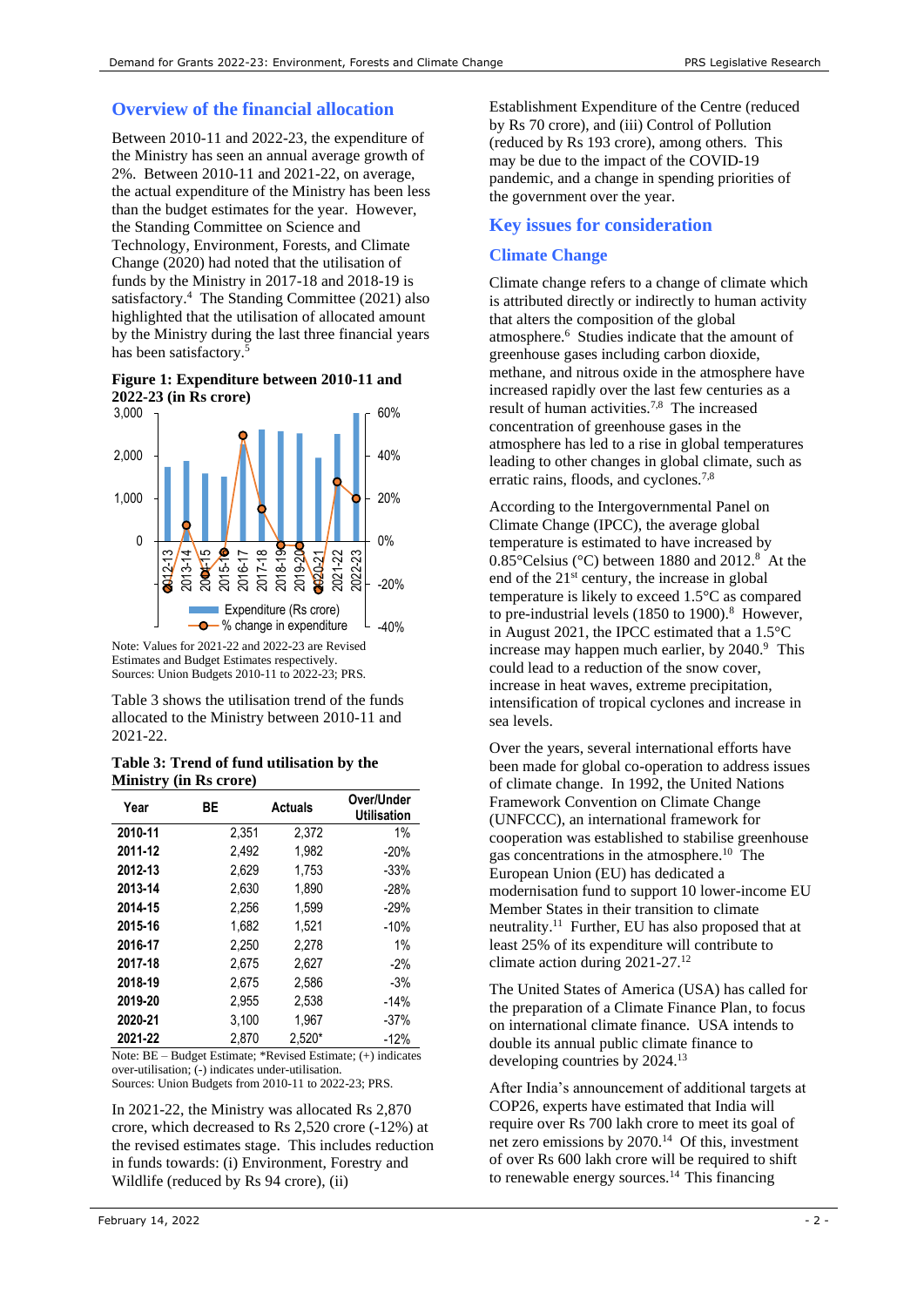# **Overview of the financial allocation**

Between 2010-11 and 2022-23, the expenditure of the Ministry has seen an annual average growth of 2%. Between 2010-11 and 2021-22, on average, the actual expenditure of the Ministry has been less than the budget estimates for the year. However, the Standing Committee on Science and Technology, Environment, Forests, and Climate Change (2020) had noted that the utilisation of funds by the Ministry in 2017-18 and 2018-19 is satisfactory.<sup>4</sup> The Standing Committee (2021) also highlighted that the utilisation of allocated amount by the Ministry during the last three financial years has been satisfactory.<sup>5</sup>

# <span id="page-1-5"></span><span id="page-1-4"></span>**Figure 1: Expenditure between 2010-11 and 2022-23 (in Rs crore)**



Estimates and Budget Estimates respectively. Sources: Union Budgets 2010-11 to 2022-23; PRS.

[Table 3](#page-1-0) shows the utilisation trend of the funds allocated to the Ministry between 2010-11 and 2021-22.

#### <span id="page-1-0"></span>**Table 3: Trend of fund utilisation by the Ministry (in Rs crore)**

| Year    | ВE    | <b>Actuals</b> | Over/Under<br><b>Utilisation</b> |
|---------|-------|----------------|----------------------------------|
| 2010-11 | 2.351 | 2.372          | 1%                               |
| 2011-12 | 2.492 | 1.982          | $-20%$                           |
| 2012-13 | 2,629 | 1,753          | $-33%$                           |
| 2013-14 | 2.630 | 1.890          | $-28%$                           |
| 2014-15 | 2.256 | 1.599          | $-29%$                           |
| 2015-16 | 1.682 | 1.521          | $-10%$                           |
| 2016-17 | 2.250 | 2.278          | 1%                               |
| 2017-18 | 2,675 | 2,627          | $-2%$                            |
| 2018-19 | 2.675 | 2.586          | $-3%$                            |
| 2019-20 | 2,955 | 2,538          | $-14%$                           |
| 2020-21 | 3,100 | 1,967          | $-37%$                           |
| 2021-22 | 2.870 | $2.520*$       | $-12%$                           |

Note: BE – Budget Estimate; \*Revised Estimate; (+) indicates over-utilisation; (-) indicates under-utilisation. Sources: Union Budgets from 2010-11 to 2022-23; PRS.

In 2021-22, the Ministry was allocated Rs 2,870 crore, which decreased to Rs 2,520 crore (-12%) at the revised estimates stage. This includes reduction in funds towards: (i) Environment, Forestry and Wildlife (reduced by Rs 94 crore), (ii)

Establishment Expenditure of the Centre (reduced by Rs 70 crore), and (iii) Control of Pollution (reduced by Rs 193 crore), among others. This may be due to the impact of the COVID-19 pandemic, and a change in spending priorities of the government over the year.

# **Key issues for consideration**

# **Climate Change**

Climate change refers to a change of climate which is attributed directly or indirectly to human activity that alters the composition of the global atmosphere.<sup>6</sup> Studies indicate that the amount of greenhouse gases including carbon dioxide, methane, and nitrous oxide in the atmosphere have increased rapidly over the last few centuries as a result of human activities.7,8 The increased concentration of greenhouse gases in the atmosphere has led to a rise in global temperatures leading to other changes in global climate, such as erratic rains, floods, and cyclones.<sup>[7,](#page-1-1)[8](#page-1-2)</sup>

<span id="page-1-2"></span><span id="page-1-1"></span>According to the Intergovernmental Panel on Climate Change (IPCC), the average global temperature is estimated to have increased by  $0.85^{\circ}$ Celsius (°C) between 1880 and 201[2.](#page-1-2)<sup>8</sup> At the end of the 21st century, the increase in global temperature is likely to exceed 1.5°C as compared to pre-industrial levels  $(1850 \text{ to } 1900)$  $(1850 \text{ to } 1900)$  $(1850 \text{ to } 1900)$ .<sup>8</sup> However, in August 2021, the IPCC estimated that a 1.5°C increase may happen much earlier, by  $2040$ .<sup>9</sup> This could lead to a reduction of the snow cover, increase in heat waves, extreme precipitation, intensification of tropical cyclones and increase in sea levels.

Over the years, several international efforts have been made for global co-operation to address issues of climate change. In 1992, the United Nations Framework Convention on Climate Change (UNFCCC), an international framework for cooperation was established to stabilise greenhouse gas concentrations in the atmosphere.<sup>10</sup> The European Union (EU) has dedicated a modernisation fund to support 10 lower-income EU Member States in their transition to climate neutrality.<sup>11</sup> Further, EU has also proposed that at least 25% of its expenditure will contribute to climate action during 2021-27. 12

The United States of America (USA) has called for the preparation of a Climate Finance Plan, to focus on international climate finance. USA intends to double its annual public climate finance to developing countries by 2024.<sup>13</sup>

<span id="page-1-3"></span>After India's announcement of additional targets at COP26, experts have estimated that India will require over Rs 700 lakh crore to meet its goal of net zero emissions by 2070.<sup>14</sup> Of this, investment of over Rs 600 lakh crore will be required to shift to renewable energy sources.<sup>[14](#page-1-3)</sup> This financing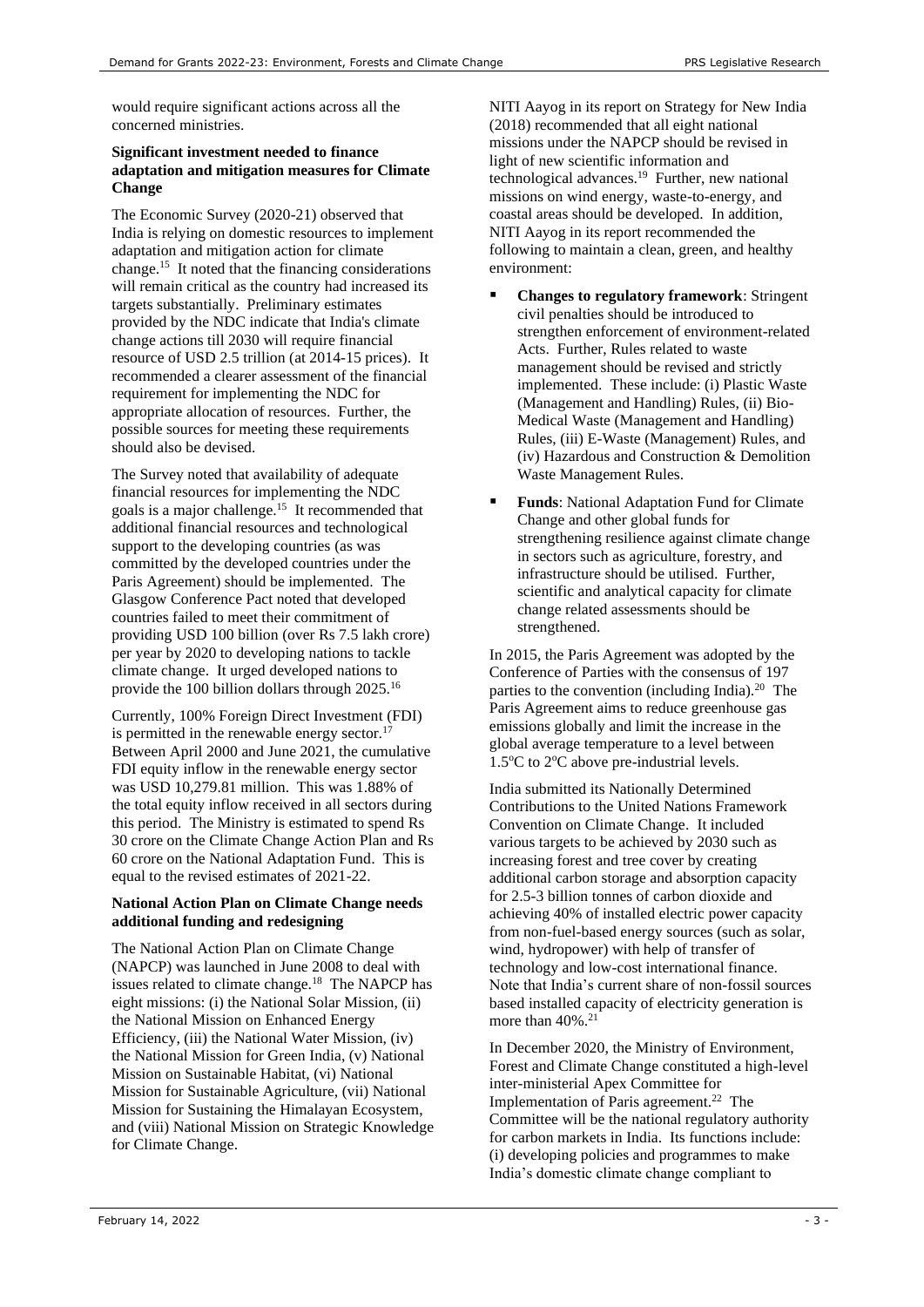would require significant actions across all the concerned ministries.

#### **Significant investment needed to finance adaptation and mitigation measures for Climate Change**

<span id="page-2-0"></span>The Economic Survey (2020-21) observed that India is relying on domestic resources to implement adaptation and mitigation action for climate change. <sup>15</sup> It noted that the financing considerations will remain critical as the country had increased its targets substantially. Preliminary estimates provided by the NDC indicate that India's climate change actions till 2030 will require financial resource of USD 2.5 trillion (at 2014-15 prices). It recommended a clearer assessment of the financial requirement for implementing the NDC for appropriate allocation of resources. Further, the possible sources for meeting these requirements should also be devised.

The Survey noted that availability of adequate financial resources for implementing the NDC goals is a major challenge. [15](#page-2-0) It recommended that additional financial resources and technological support to the developing countries (as was committed by the developed countries under the Paris Agreement) should be implemented. The Glasgow Conference Pact noted that developed countries failed to meet their commitment of providing USD 100 billion (over Rs 7.5 lakh crore) per year by 2020 to developing nations to tackle climate change. It urged developed nations to provide the 100 billion dollars through 2025.<sup>16</sup>

Currently, 100% Foreign Direct Investment (FDI) is permitted in the renewable energy sector.<sup>17</sup> Between April 2000 and June 2021, the cumulative FDI equity inflow in the renewable energy sector was USD 10,279.81 million. This was 1.88% of the total equity inflow received in all sectors during this period. The Ministry is estimated to spend Rs 30 crore on the Climate Change Action Plan and Rs 60 crore on the National Adaptation Fund. This is equal to the revised estimates of 2021-22.

#### **National Action Plan on Climate Change needs additional funding and redesigning**

The National Action Plan on Climate Change (NAPCP) was launched in June 2008 to deal with issues related to climate change.<sup>18</sup> The NAPCP has eight missions: (i) the National Solar Mission, (ii) the National Mission on Enhanced Energy Efficiency, (iii) the National Water Mission, (iv) the National Mission for Green India, (v) National Mission on Sustainable Habitat, (vi) National Mission for Sustainable Agriculture, (vii) National Mission for Sustaining the Himalayan Ecosystem, and (viii) National Mission on Strategic Knowledge for Climate Change.

<span id="page-2-2"></span>NITI Aayog in its report on Strategy for New India (2018) recommended that all eight national missions under the NAPCP should be revised in light of new scientific information and technological advances.<sup>19</sup> Further, new national missions on wind energy, waste-to-energy, and coastal areas should be developed. In addition, NITI Aayog in its report recommended the following to maintain a clean, green, and healthy environment:

- **Changes to regulatory framework**: Stringent civil penalties should be introduced to strengthen enforcement of environment-related Acts. Further, Rules related to waste management should be revised and strictly implemented. These include: (i) Plastic Waste (Management and Handling) Rules, (ii) Bio-Medical Waste (Management and Handling) Rules, (iii) E-Waste (Management) Rules, and (iv) Hazardous and Construction & Demolition Waste Management Rules.
- **Funds**: National Adaptation Fund for Climate Change and other global funds for strengthening resilience against climate change in sectors such as agriculture, forestry, and infrastructure should be utilised. Further, scientific and analytical capacity for climate change related assessments should be strengthened.

<span id="page-2-1"></span>In 2015, the Paris Agreement was adopted by the Conference of Parties with the consensus of 197 parties to the convention (including India).<sup>20</sup> The Paris Agreement aims to reduce greenhouse gas emissions globally and limit the increase in the global average temperature to a level between 1.5 $\rm{^{\circ}C}$  to 2 $\rm{^{\circ}C}$  above pre-industrial levels.

India submitted its Nationally Determined Contributions to the United Nations Framework Convention on Climate Change. It included various targets to be achieved by 2030 such as increasing forest and tree cover by creating additional carbon storage and absorption capacity for 2.5-3 billion tonnes of carbon dioxide and achieving 40% of installed electric power capacity from non-fuel-based energy sources (such as solar, wind, hydropower) with help of transfer of technology and low-cost international finance. Note that India's current share of non-fossil sources based installed capacity of electricity generation is more than  $40\%$ .<sup>21</sup>

In December 2020, the Ministry of Environment, Forest and Climate Change constituted a high-level inter-ministerial Apex Committee for Implementation of Paris agreement.<sup>22</sup> The Committee will be the national regulatory authority for carbon markets in India. Its functions include: (i) developing policies and programmes to make India's domestic climate change compliant to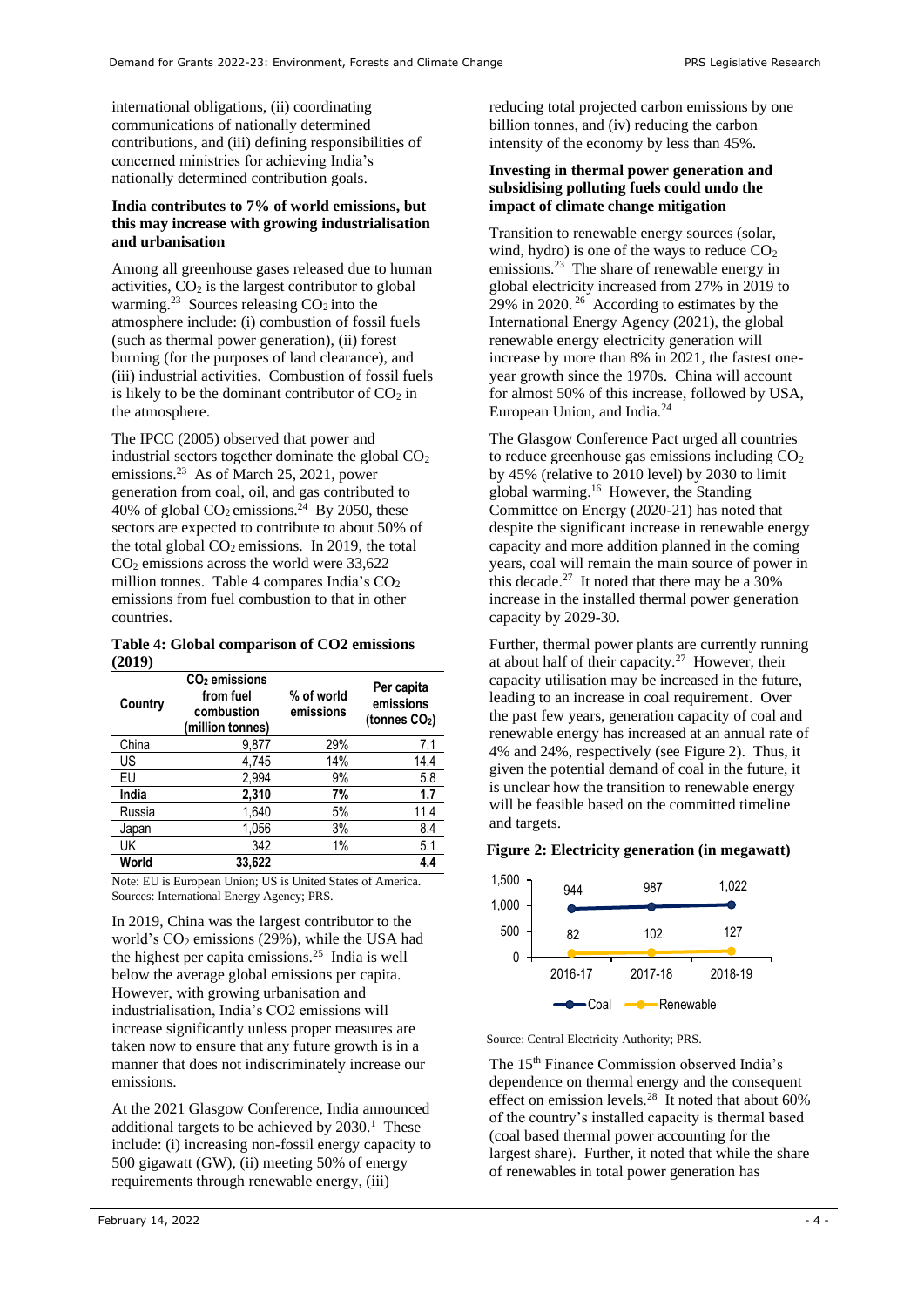international obligations, (ii) coordinating communications of nationally determined contributions, and (iii) defining responsibilities of concerned ministries for achieving India's nationally determined contribution goals.

### **India contributes to 7% of world emissions, but this may increase with growing industrialisation and urbanisation**

<span id="page-3-0"></span>Among all greenhouse gases released due to human activities,  $CO<sub>2</sub>$  is the largest contributor to global warming.<sup>23</sup> Sources releasing  $CO<sub>2</sub>$  into the atmosphere include: (i) combustion of fossil fuels (such as thermal power generation), (ii) forest burning (for the purposes of land clearance), and (iii) industrial activities. Combustion of fossil fuels is likely to be the dominant contributor of  $CO<sub>2</sub>$  in the atmosphere.

<span id="page-3-1"></span>The IPCC (2005) observed that power and industrial sectors together dominate the global  $CO<sub>2</sub>$ emissions.<sup>[23](#page-3-0)</sup> As of March 25, 2021, power generation from coal, oil, and gas contributed to 40% of global  $CO_2$  emissions.<sup>24</sup> By 2050, these sectors are expected to contribute to about 50% of the total global  $CO<sub>2</sub>$  emissions. In 2019, the total  $CO<sub>2</sub>$  emissions across the world were 33,622 million tonnes. Table 4 compares India's  $CO<sub>2</sub>$ emissions from fuel combustion to that in other countries.

#### **Table 4: Global comparison of CO2 emissions (2019)**

| Country | $CO2$ emissions<br>from fuel<br>combustion<br>(million tonnes) | % of world<br>emissions | Per capita<br>emissions<br>(tonnes $CO2$ ) |
|---------|----------------------------------------------------------------|-------------------------|--------------------------------------------|
| China   | 9,877                                                          | 29%                     | 7.1                                        |
| US      | 4.745                                                          | 14%                     | 14.4                                       |
| EU      | 2,994                                                          | 9%                      | 5.8                                        |
| India   | 2,310                                                          | 7%                      | 1.7                                        |
| Russia  | 1,640                                                          | 5%                      | 11.4                                       |
| Japan   | 1,056                                                          | 3%                      | 8.4                                        |
| UK      | 342                                                            | 1%                      | 5.1                                        |
| World   | 33.622                                                         |                         | 4.4                                        |

Sources: International Energy Agency; PRS. Note: EU is European Union; US is United States of America.

In 2019, China was the largest contributor to the world's  $CO<sub>2</sub>$  emissions (29%), while the USA had the highest per capita emissions.<sup>25</sup> India is well below the average global emissions per capita. However, with growing urbanisation and industrialisation, India's CO2 emissions will increase significantly unless proper measures are taken now to ensure that any future growth is in a manner that does not indiscriminately increase our emissions.

At the 2021 Glasgow Conference, India announced additional targets to be achieved by  $2030<sup>1</sup>$  $2030<sup>1</sup>$  $2030<sup>1</sup>$ . These include: (i) increasing non-fossil energy capacity to 500 gigawatt (GW), (ii) meeting 50% of energy requirements through renewable energy, (iii)

reducing total projected carbon emissions by one billion tonnes, and (iv) reducing the carbon intensity of the economy by less than 45%.

#### **Investing in thermal power generation and subsidising polluting fuels could undo the impact of climate change mitigation**

Transition to renewable energy sources (solar, wind, hydro) is one of the ways to reduce  $CO<sub>2</sub>$ emissions.<sup>[23](#page-3-0)</sup> The share of renewable energy in global electricity increased from 27% in 2019 to 29% in 2020. <sup>26</sup> According to estimates by the International Energy Agency (2021), the global renewable energy electricity generation will increase by more than 8% in 2021, the fastest oneyear growth since the 1970s. China will account for almost 50% of this increase, followed by USA, European Union, and India.[24](#page-3-1)

The Glasgow Conference Pact urged all countries to reduce greenhouse gas emissions including  $CO<sub>2</sub>$ by 45% (relative to 2010 level) by 2030 to limit global warming.[16](#page-2-1) However, the Standing Committee on Energy (2020-21) has noted that despite the significant increase in renewable energy capacity and more addition planned in the coming years, coal will remain the main source of power in this decade.<sup>27</sup> It noted that there may be a  $30\%$ increase in the installed thermal power generation capacity by 2029-30.

<span id="page-3-2"></span>Further, thermal power plants are currently running at about half of their capacity.[27](#page-3-2) However, their capacity utilisation may be increased in the future, leading to an increase in coal requirement. Over the past few years, generation capacity of coal and renewable energy has increased at an annual rate of 4% and 24%, respectively (see Figure 2). Thus, it given the potential demand of coal in the future, it is unclear how the transition to renewable energy will be feasible based on the committed timeline and targets.

# **Figure 2: Electricity generation (in megawatt)**



Source: Central Electricity Authority; PRS.

<span id="page-3-3"></span>The 15th Finance Commission observed India's dependence on thermal energy and the consequent effect on emission levels.<sup>28</sup> It noted that about 60% of the country's installed capacity is thermal based (coal based thermal power accounting for the largest share). Further, it noted that while the share of renewables in total power generation has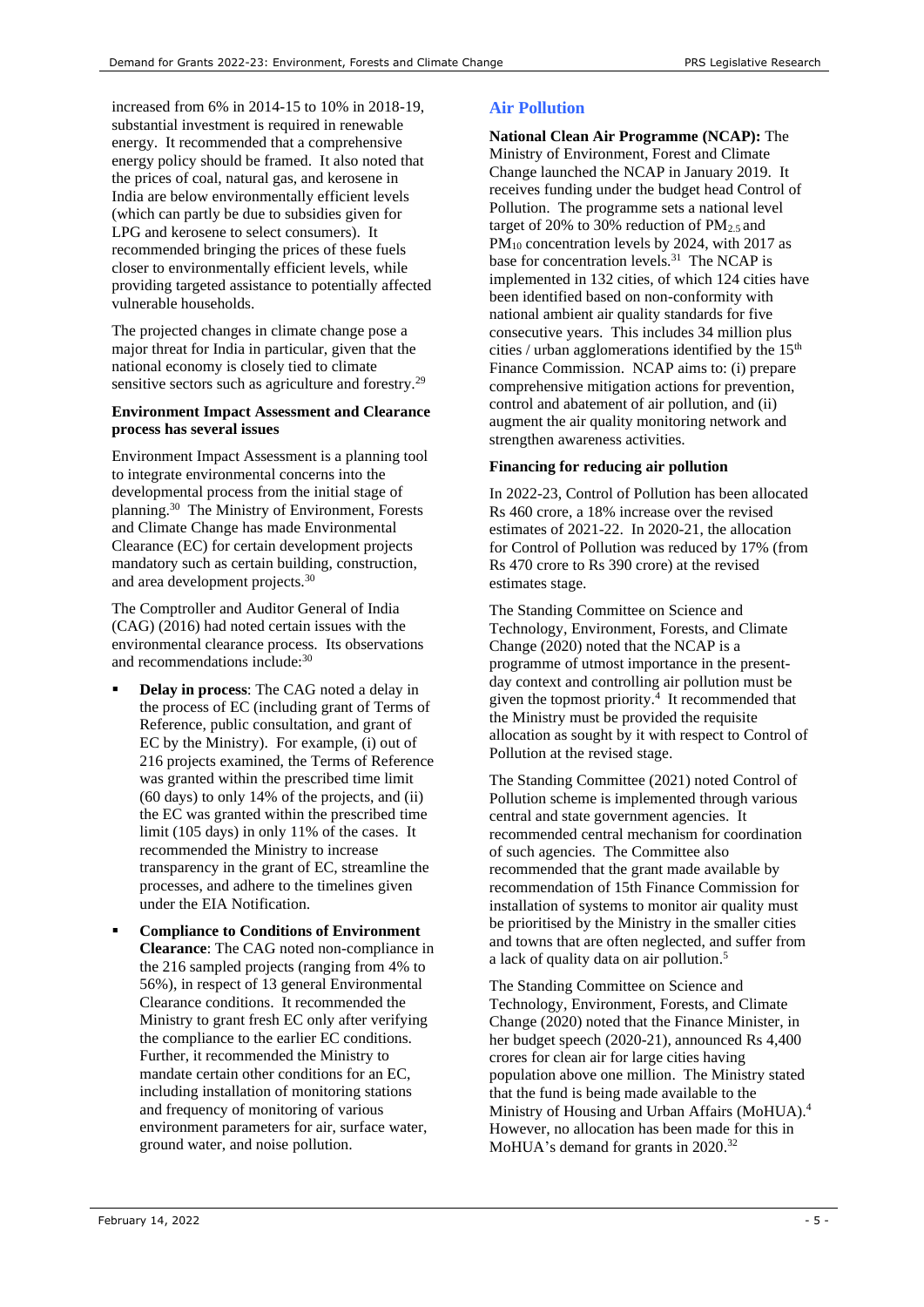increased from 6% in 2014-15 to 10% in 2018-19, substantial investment is required in renewable energy. It recommended that a comprehensive energy policy should be framed. It also noted that the prices of coal, natural gas, and kerosene in India are below environmentally efficient levels (which can partly be due to subsidies given for LPG and kerosene to select consumers). It recommended bringing the prices of these fuels closer to environmentally efficient levels, while providing targeted assistance to potentially affected vulnerable households.

The projected changes in climate change pose a major threat for India in particular, given that the national economy is closely tied to climate sensitive sectors such as agriculture and forestry.<sup>29</sup>

#### **Environment Impact Assessment and Clearance process has several issues**

<span id="page-4-0"></span>Environment Impact Assessment is a planning tool to integrate environmental concerns into the developmental process from the initial stage of planning.<sup>30</sup> The Ministry of Environment, Forests and Climate Change has made Environmental Clearance (EC) for certain development projects mandatory such as certain building, construction, and area development projects.<sup>[30](#page-4-0)</sup>

The Comptroller and Auditor General of India (CAG) (2016) had noted certain issues with the environmental clearance process. Its observations and recommendations include:[30](#page-4-0)

- **Delay in process:** The CAG noted a delay in the process of EC (including grant of Terms of Reference, public consultation, and grant of EC by the Ministry). For example, (i) out of 216 projects examined, the Terms of Reference was granted within the prescribed time limit (60 days) to only 14% of the projects, and (ii) the EC was granted within the prescribed time limit (105 days) in only 11% of the cases. It recommended the Ministry to increase transparency in the grant of EC, streamline the processes, and adhere to the timelines given under the EIA Notification.
- **Compliance to Conditions of Environment Clearance**: The CAG noted non-compliance in the 216 sampled projects (ranging from 4% to 56%), in respect of 13 general Environmental Clearance conditions. It recommended the Ministry to grant fresh EC only after verifying the compliance to the earlier EC conditions. Further, it recommended the Ministry to mandate certain other conditions for an EC, including installation of monitoring stations and frequency of monitoring of various environment parameters for air, surface water, ground water, and noise pollution.

# **Air Pollution**

**National Clean Air Programme (NCAP):** The Ministry of Environment, Forest and Climate Change launched the NCAP in January 2019. It receives funding under the budget head Control of Pollution. The programme sets a national level target of 20% to 30% reduction of  $PM_{2.5}$  and  $PM_{10}$  concentration levels by 2024, with 2017 as base for concentration levels.<sup>31</sup> The NCAP is implemented in 132 cities, of which 124 cities have been identified based on non-conformity with national ambient air quality standards for five consecutive years. This includes 34 million plus cities / urban agglomerations identified by the  $15<sup>th</sup>$ Finance Commission. NCAP aims to: (i) prepare comprehensive mitigation actions for prevention, control and abatement of air pollution, and (ii) augment the air quality monitoring network and strengthen awareness activities.

# **Financing for reducing air pollution**

In 2022-23, Control of Pollution has been allocated Rs 460 crore, a 18% increase over the revised estimates of 2021-22. In 2020-21, the allocation for Control of Pollution was reduced by 17% (from Rs 470 crore to Rs 390 crore) at the revised estimates stage.

The Standing Committee on Science and Technology, Environment, Forests, and Climate Change (2020) noted that the NCAP is a programme of utmost importance in the presentday context and controlling air pollution must be given the topmost priority.[4](#page-1-4) It recommended that the Ministry must be provided the requisite allocation as sought by it with respect to Control of Pollution at the revised stage.

The Standing Committee (2021) noted Control of Pollution scheme is implemented through various central and state government agencies. It recommended central mechanism for coordination of such agencies. The Committee also recommended that the grant made available by recommendation of 15th Finance Commission for installation of systems to monitor air quality must be prioritised by the Ministry in the smaller cities and towns that are often neglected, and suffer from a lack of quality data on air pollution. [5](#page-1-5)

The Standing Committee on Science and Technology, Environment, Forests, and Climate Change (2020) noted that the Finance Minister, in her budget speech (2020-21), announced Rs 4,400 crores for clean air for large cities having population above one million. The Ministry stated that the fund is being made available to the Ministry of Housing and Urban Affairs (MoHUA[\).](#page-1-4) 4 However, no allocation has been made for this in MoHUA's demand for grants in 2020.<sup>32</sup>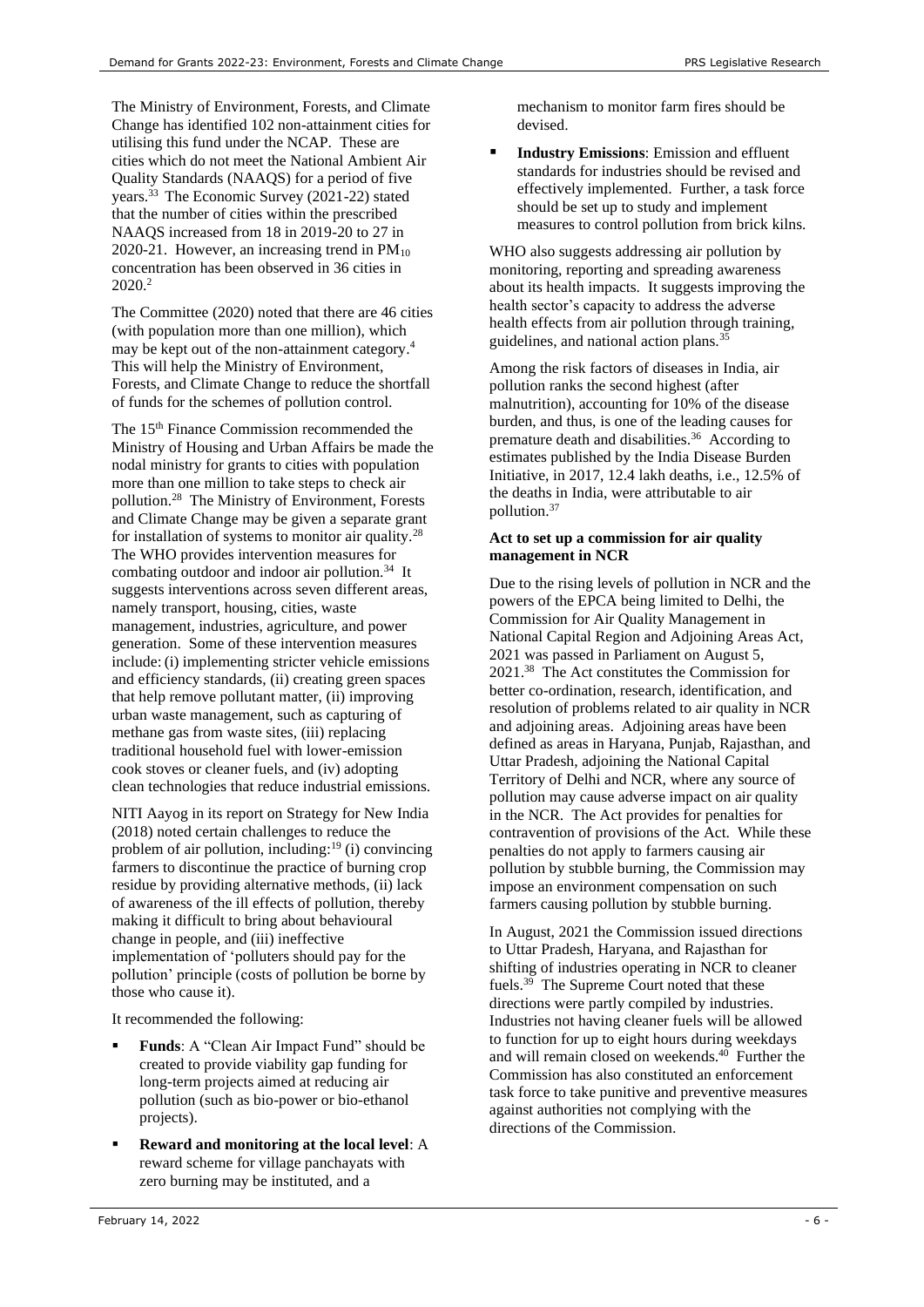The Ministry of Environment, Forests, and Climate Change has identified 102 non-attainment cities for utilising this fund under the NCAP. These are cities which do not meet the National Ambient Air Quality Standards (NAAQS) for a period of five years.<sup>33</sup> The Economic Survey (2021-22) stated that the number of cities within the prescribed NAAQS increased from 18 in 2019-20 to 27 in 2020-21. However, an increasing trend in  $PM_{10}$ concentration has been observed in 36 cities in 2020<sup>2</sup>

The Committee (2020) noted that there are 46 cities (with population more than one million), which may be kept out of the non-attainment category[.](#page-1-4) 4 This will help the Ministry of Environment, Forests, and Climate Change to reduce the shortfall of funds for the schemes of pollution control.

The 15<sup>th</sup> Finance Commission recommended the Ministry of Housing and Urban Affairs be made the nodal ministry for grants to cities with population more than one million to take steps to check air pollution.[28](#page-3-3) The Ministry of Environment, Forests and Climate Change may be given a separate grant for installation of systems to monitor air quality.[28](#page-3-3)  The WHO provides intervention measures for combating outdoor and indoor air pollution.<sup>34</sup> It suggests interventions across seven different areas, namely transport, housing, cities, waste management, industries, agriculture, and power generation. Some of these intervention measures include: (i) implementing stricter vehicle emissions and efficiency standards, (ii) creating green spaces that help remove pollutant matter, (ii) improving urban waste management, such as capturing of methane gas from waste sites, (iii) replacing traditional household fuel with lower-emission cook stoves or cleaner fuels, and (iv) adopting clean technologies that reduce industrial emissions.

NITI Aayog in its report on Strategy for New India (2018) noted certain challenges to reduce the problem of air pollution, including: $19$  (i) convincing farmers to discontinue the practice of burning crop residue by providing alternative methods, (ii) lack of awareness of the ill effects of pollution, thereby making it difficult to bring about behavioural change in people, and (iii) ineffective implementation of 'polluters should pay for the pollution' principle (costs of pollution be borne by those who cause it).

It recommended the following:

- Funds: A "Clean Air Impact Fund" should be created to provide viability gap funding for long-term projects aimed at reducing air pollution (such as bio-power or bio-ethanol projects).
- **Reward and monitoring at the local level**: A reward scheme for village panchayats with zero burning may be instituted, and a

mechanism to monitor farm fires should be devised.

■ **Industry Emissions**: Emission and effluent standards for industries should be revised and effectively implemented. Further, a task force should be set up to study and implement measures to control pollution from brick kilns.

WHO also suggests addressing air pollution by monitoring, reporting and spreading awareness about its health impacts. It suggests improving the health sector's capacity to address the adverse health effects from air pollution through training, guidelines, and national action plans.<sup>35</sup>

Among the risk factors of diseases in India, air pollution ranks the second highest (after malnutrition), accounting for 10% of the disease burden, and thus, is one of the leading causes for premature death and disabilities.<sup>36</sup> According to estimates published by the India Disease Burden Initiative, in 2017, 12.4 lakh deaths, i.e., 12.5% of the deaths in India, were attributable to air pollution.<sup>37</sup>

## **Act to set up a commission for air quality management in NCR**

Due to the rising levels of pollution in NCR and the powers of the EPCA being limited to Delhi, the Commission for Air Quality Management in National Capital Region and Adjoining Areas Act, 2021 was passed in Parliament on August 5, 2021.<sup>38</sup> The Act constitutes the Commission for better co-ordination, research, identification, and resolution of problems related to air quality in NCR and adjoining areas. Adjoining areas have been defined as areas in Haryana, Punjab, Rajasthan, and Uttar Pradesh, adjoining the National Capital Territory of Delhi and NCR, where any source of pollution may cause adverse impact on air quality in the NCR. The Act provides for penalties for contravention of provisions of the Act. While these penalties do not apply to farmers causing air pollution by stubble burning, the Commission may impose an environment compensation on such farmers causing pollution by stubble burning.

In August, 2021 the Commission issued directions to Uttar Pradesh, Haryana, and Rajasthan for shifting of industries operating in NCR to cleaner fuels.<sup>39</sup> The Supreme Court noted that these directions were partly compiled by industries. Industries not having cleaner fuels will be allowed to function for up to eight hours during weekdays and will remain closed on weekends.<sup>40</sup> Further the Commission has also constituted an enforcement task force to take punitive and preventive measures against authorities not complying with the directions of the Commission.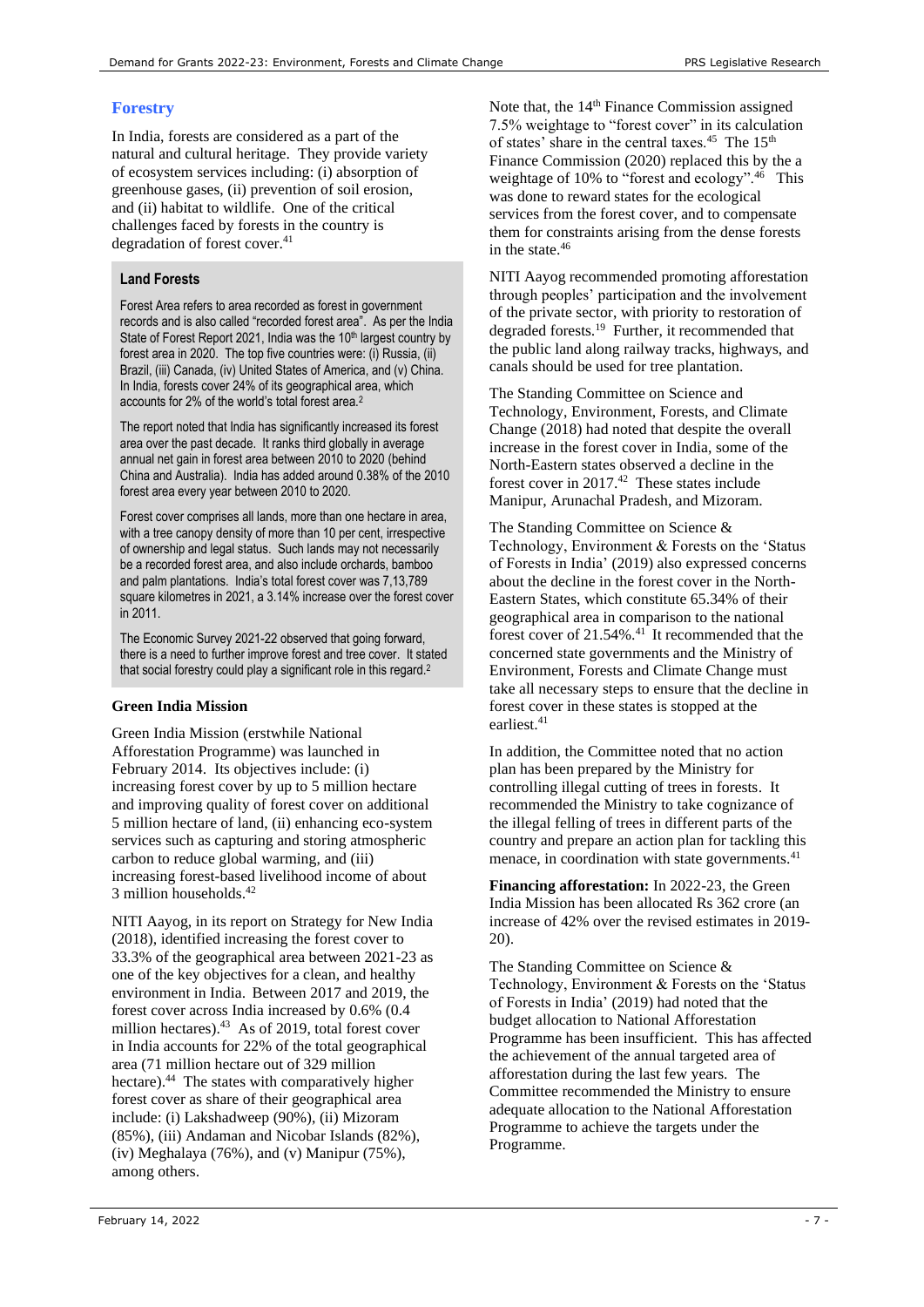# **Forestry**

In India, forests are considered as a part of the natural and cultural heritage. They provide variety of ecosystem services including: (i) absorption of greenhouse gases, (ii) prevention of soil erosion, and (ii) habitat to wildlife. One of the critical challenges faced by forests in the country is degradation of forest cover.<sup>41</sup>

# <span id="page-6-2"></span>**Land Forests**

Forest Area refers to area recorded as forest in government records and is also called "recorded forest area". As per the India State of Forest Report 2021, India was the 10<sup>th</sup> largest country by forest area in 2020. The top five countries were: (i) Russia, (ii) Brazil, (iii) Canada, (iv) United States of America, and (v) China. In India, forests cover 24% of its geographical area, which accounts for 2% of the world's total forest are[a.](#page-0-0)<sup>2</sup>

The report noted that India has significantly increased its forest area over the past decade. It ranks third globally in average annual net gain in forest area between 2010 to 2020 (behind China and Australia). India has added around 0.38% of the 2010 forest area every year between 2010 to 2020.

Forest cover comprises all lands, more than one hectare in area, with a tree canopy density of more than 10 per cent, irrespective of ownership and legal status. Such lands may not necessarily be a recorded forest area, and also include orchards, bamboo and palm plantations. India's total forest cover was 7,13,789 square kilometres in 2021, a 3.14% increase over the forest cover in 2011.

The Economic Survey 2021-22 observed that going forward, there is a need to further improve forest and tree cover. It stated that social forestry could play a significant role in this regar[d.](#page-0-0)<sup>2</sup>

# **Green India Mission**

Green India Mission (erstwhile National Afforestation Programme) was launched in February 2014. Its objectives include: (i) increasing forest cover by up to 5 million hectare and improving quality of forest cover on additional 5 million hectare of land, (ii) enhancing eco-system services such as capturing and storing atmospheric carbon to reduce global warming, and (iii) increasing forest-based livelihood income of about 3 million households. 42

<span id="page-6-1"></span>NITI Aayog, in its report on Strategy for New India (2018), identified increasing the forest cover to 33.3% of the geographical area between 2021-23 as one of the key objectives for a clean, and healthy environment in India. Between 2017 and 2019, the forest cover across India increased by 0.6% (0.4 million hectares).<sup>43</sup> As of 2019, total forest cover in India accounts for 22% of the total geographical area (71 million hectare out of 329 million hectare).<sup>44</sup> The states with comparatively higher forest cover as share of their geographical area include: (i) Lakshadweep (90%), (ii) Mizoram (85%), (iii) Andaman and Nicobar Islands (82%), (iv) Meghalaya (76%), and (v) Manipur (75%), among others.

<span id="page-6-0"></span>Note that, the 14<sup>th</sup> Finance Commission assigned 7.5% weightage to "forest cover" in its calculation of states' share in the central taxes.<sup>45</sup> The 15<sup>th</sup> Finance Commission (2020) replaced this by the a weightage of 10% to "forest and ecology".<sup>46</sup> This was done to reward states for the ecological services from the forest cover, and to compensate them for constraints arising from the dense forests in the state.[46](#page-6-0)

NITI Aayog recommended promoting afforestation through peoples' participation and the involvement of the private sector, with priority to restoration of degraded forests.<sup>[19](#page-2-2)</sup> Further, it recommended that the public land along railway tracks, highways, and canals should be used for tree plantation.

The Standing Committee on Science and Technology, Environment, Forests, and Climate Change (2018) had noted that despite the overall increase in the forest cover in India, some of the North-Eastern states observed a decline in the forest cover in  $2017<sup>42</sup>$  $2017<sup>42</sup>$  $2017<sup>42</sup>$  These states include Manipur, Arunachal Pradesh, and Mizoram.

The Standing Committee on Science & Technology, Environment & Forests on the 'Status of Forests in India' (2019) also expressed concerns about the decline in the forest cover in the North-Eastern States, which constitute 65.34% of their geographical area in comparison to the national forest cover of  $21.54\%$ .<sup>[41](#page-6-2)</sup> It recommended that the concerned state governments and the Ministry of Environment, Forests and Climate Change must take all necessary steps to ensure that the decline in forest cover in these states is stopped at the earliest.<sup>[41](#page-6-2)</sup>

In addition, the Committee noted that no action plan has been prepared by the Ministry for controlling illegal cutting of trees in forests. It recommended the Ministry to take cognizance of the illegal felling of trees in different parts of the country and prepare an action plan for tackling this menace, in coordination with state governments.<sup>[41](#page-6-2)</sup>

**Financing afforestation:** In 2022-23, the Green India Mission has been allocated Rs 362 crore (an increase of 42% over the revised estimates in 2019- 20).

The Standing Committee on Science & Technology, Environment & Forests on the 'Status of Forests in India' (2019) had noted that the budget allocation to National Afforestation Programme has been insufficient. This has affected the achievement of the annual targeted area of afforestation during the last few years. The Committee recommended the Ministry to ensure adequate allocation to the National Afforestation Programme to achieve the targets under the Programme.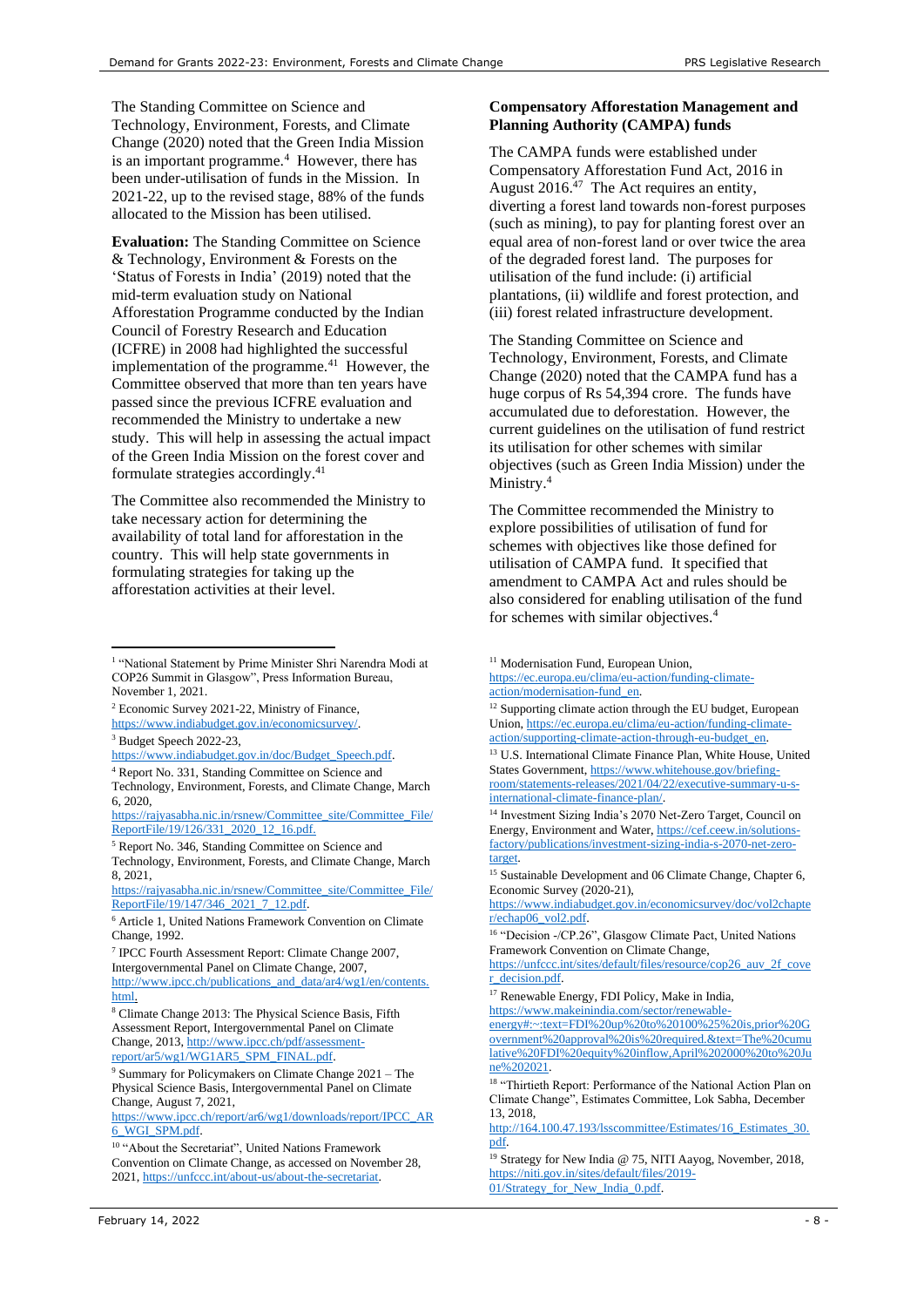The Standing Committee on Science and Technology, Environment, Forests, and Climate Change (2020) noted that the Green India Mission is an important programme.<sup>[4](#page-1-4)</sup> However, there has been under-utilisation of funds in the Mission. In 2021-22, up to the revised stage, 88% of the funds allocated to the Mission has been utilised.

**Evaluation:** The Standing Committee on Science & Technology, Environment & Forests on the 'Status of Forests in India' (2019) noted that the mid-term evaluation study on National Afforestation Programme conducted by the Indian Council of Forestry Research and Education (ICFRE) in 2008 had highlighted the successful implementation of the programme. $41$  However, the Committee observed that more than ten years have passed since the previous ICFRE evaluation and recommended the Ministry to undertake a new study. This will help in assessing the actual impact of the Green India Mission on the forest cover and formulate strategies accordingly. [41](#page-6-2)

The Committee also recommended the Ministry to take necessary action for determining the availability of total land for afforestation in the country. This will help state governments in formulating strategies for taking up the afforestation activities at their level.

- <sup>2</sup> Economic Survey 2021-22, Ministry of Finance, [https://www.indiabudget.gov.in/economicsurvey/.](https://www.indiabudget.gov.in/economicsurvey/)
- <sup>3</sup> Budget Speech 2022-23,

<sup>4</sup> Report No. 331, Standing Committee on Science and

[https://www.ipcc.ch/report/ar6/wg1/downloads/report/IPCC\\_AR](https://www.ipcc.ch/report/ar6/wg1/downloads/report/IPCC_AR6_WGI_SPM.pdf) [6\\_WGI\\_SPM.pdf.](https://www.ipcc.ch/report/ar6/wg1/downloads/report/IPCC_AR6_WGI_SPM.pdf) 

#### **Compensatory Afforestation Management and Planning Authority (CAMPA) funds**

The CAMPA funds were established under Compensatory Afforestation Fund Act, 2016 in August  $2016<sup>47</sup>$  The Act requires an entity, diverting a forest land towards non-forest purposes (such as mining), to pay for planting forest over an equal area of non-forest land or over twice the area of the degraded forest land. The purposes for utilisation of the fund include: (i) artificial plantations, (ii) wildlife and forest protection, and (iii) forest related infrastructure development.

The Standing Committee on Science and Technology, Environment, Forests, and Climate Change (2020) noted that the CAMPA fund has a huge corpus of Rs 54,394 crore. The funds have accumulated due to deforestation. However, the current guidelines on the utilisation of fund restrict its utilisation for other schemes with similar objectives (such as Green India Mission) under the Ministry[.](#page-1-4)<sup>4</sup>

The Committee recommended the Ministry to explore possibilities of utilisation of fund for schemes with objectives like those defined for utilisation of CAMPA fund. It specified that amendment to CAMPA Act and rules should be also considered for enabling utilisation of the fund for schemes with similar objectives[.](#page-1-4)<sup>4</sup>

[https://www.indiabudget.gov.in/economicsurvey/doc/vol2chapte](https://www.indiabudget.gov.in/economicsurvey/doc/vol2chapter/echap06_vol2.pdf) [r/echap06\\_vol2.pdf.](https://www.indiabudget.gov.in/economicsurvey/doc/vol2chapter/echap06_vol2.pdf) 

[https://unfccc.int/sites/default/files/resource/cop26\\_auv\\_2f\\_cove](https://unfccc.int/sites/default/files/resource/cop26_auv_2f_cover_decision.pdf) [r\\_decision.pdf.](https://unfccc.int/sites/default/files/resource/cop26_auv_2f_cover_decision.pdf) 

<sup>17</sup> Renewable Energy, FDI Policy, Make in India,

[https://www.makeinindia.com/sector/renewable](https://www.makeinindia.com/sector/renewable-energy#:~:text=FDI%20up%20to%20100%25%20is,prior%20Government%20approval%20is%20required.&text=The%20cumulative%20FDI%20equity%20inflow,April%202000%20to%20June%202021)[energy#:~:text=FDI%20up%20to%20100%25%20is,prior%20G](https://www.makeinindia.com/sector/renewable-energy#:~:text=FDI%20up%20to%20100%25%20is,prior%20Government%20approval%20is%20required.&text=The%20cumulative%20FDI%20equity%20inflow,April%202000%20to%20June%202021) [overnment%20approval%20is%20required.&text=The%20cumu](https://www.makeinindia.com/sector/renewable-energy#:~:text=FDI%20up%20to%20100%25%20is,prior%20Government%20approval%20is%20required.&text=The%20cumulative%20FDI%20equity%20inflow,April%202000%20to%20June%202021) [lative%20FDI%20equity%20inflow,April%202000%20to%20Ju](https://www.makeinindia.com/sector/renewable-energy#:~:text=FDI%20up%20to%20100%25%20is,prior%20Government%20approval%20is%20required.&text=The%20cumulative%20FDI%20equity%20inflow,April%202000%20to%20June%202021) [ne%202021.](https://www.makeinindia.com/sector/renewable-energy#:~:text=FDI%20up%20to%20100%25%20is,prior%20Government%20approval%20is%20required.&text=The%20cumulative%20FDI%20equity%20inflow,April%202000%20to%20June%202021) 

<sup>18</sup> "Thirtieth Report: Performance of the National Action Plan on Climate Change", Estimates Committee, Lok Sabha, December 13, 2018,

[http://164.100.47.193/lsscommittee/Estimates/16\\_Estimates\\_30.](http://164.100.47.193/lsscommittee/Estimates/16_Estimates_30.pdf) [pdf.](http://164.100.47.193/lsscommittee/Estimates/16_Estimates_30.pdf)

<sup>19</sup> Strategy for New India @ 75, NITI Aayog, November, 2018, [https://niti.gov.in/sites/default/files/2019-](https://niti.gov.in/sites/default/files/2019-01/Strategy_for_New_India_0.pdf) [01/Strategy\\_for\\_New\\_India\\_0.pdf.](https://niti.gov.in/sites/default/files/2019-01/Strategy_for_New_India_0.pdf) 

<sup>&</sup>lt;sup>1</sup> "National Statement by Prime Minister Shri Narendra Modi at COP26 Summit in Glasgow", Press Information Bureau, November 1, 2021.

[https://www.indiabudget.gov.in/doc/Budget\\_Speech.pdf.](https://www.indiabudget.gov.in/doc/Budget_Speech.pdf) 

Technology, Environment, Forests, and Climate Change, March 6, 2020,

[https://rajyasabha.nic.in/rsnew/Committee\\_site/Committee\\_File/](https://rajyasabha.nic.in/rsnew/Committee_site/Committee_File/ReportFile/19/126/331_2020_12_16.pdf) [ReportFile/19/126/331\\_2020\\_12\\_16.pdf.](https://rajyasabha.nic.in/rsnew/Committee_site/Committee_File/ReportFile/19/126/331_2020_12_16.pdf)

<sup>5</sup> Report No. 346, Standing Committee on Science and Technology, Environment, Forests, and Climate Change, March

<sup>8, 2021,</sup>  [https://rajyasabha.nic.in/rsnew/Committee\\_site/Committee\\_File/](https://rajyasabha.nic.in/rsnew/Committee_site/Committee_File/ReportFile/19/147/346_2021_7_12.pdf)

ReportFile/19/147/346\_2021\_7\_12.pdf. <sup>6</sup> Article 1, United Nations Framework Convention on Climate

Change, 1992. 7 IPCC Fourth Assessment Report: Climate Change 2007, Intergovernmental Panel on Climate Change, 2007,

[http://www.ipcc.ch/publications\\_and\\_data/ar4/wg1/en/contents.](http://www.ipcc.ch/publications_and_data/ar4/wg1/en/contents.html) [html.](http://www.ipcc.ch/publications_and_data/ar4/wg1/en/contents.html) 

<sup>8</sup> Climate Change 2013: The Physical Science Basis, Fifth Assessment Report, Intergovernmental Panel on Climate Change, 2013[, http://www.ipcc.ch/pdf/assessment](http://www.ipcc.ch/pdf/assessment-report/ar5/wg1/WG1AR5_SPM_FINAL.pdf)[report/ar5/wg1/WG1AR5\\_SPM\\_FINAL.pdf.](http://www.ipcc.ch/pdf/assessment-report/ar5/wg1/WG1AR5_SPM_FINAL.pdf) 

<sup>9</sup> Summary for Policymakers on Climate Change 2021 – The Physical Science Basis, Intergovernmental Panel on Climate Change, August 7, 2021,

<sup>10</sup> "About the Secretariat", United Nations Framework Convention on Climate Change, as accessed on November 28, 2021[, https://unfccc.int/about-us/about-the-secretariat.](https://unfccc.int/about-us/about-the-secretariat)

<sup>&</sup>lt;sup>11</sup> Modernisation Fund, European Union,

[https://ec.europa.eu/clima/eu-action/funding-climate](https://ec.europa.eu/clima/eu-action/funding-climate-action/modernisation-fund_en)[action/modernisation-fund\\_en.](https://ec.europa.eu/clima/eu-action/funding-climate-action/modernisation-fund_en) 

<sup>&</sup>lt;sup>12</sup> Supporting climate action through the EU budget, European Union[, https://ec.europa.eu/clima/eu-action/funding-climate](https://ec.europa.eu/clima/eu-action/funding-climate-action/supporting-climate-action-through-eu-budget_en)[action/supporting-climate-action-through-eu-budget\\_en.](https://ec.europa.eu/clima/eu-action/funding-climate-action/supporting-climate-action-through-eu-budget_en) 

<sup>13</sup> U.S. International Climate Finance Plan, White House, United States Government[, https://www.whitehouse.gov/briefing](https://www.whitehouse.gov/briefing-room/statements-releases/2021/04/22/executive-summary-u-s-international-climate-finance-plan/)[room/statements-releases/2021/04/22/executive-summary-u-s](https://www.whitehouse.gov/briefing-room/statements-releases/2021/04/22/executive-summary-u-s-international-climate-finance-plan/)[international-climate-finance-plan/.](https://www.whitehouse.gov/briefing-room/statements-releases/2021/04/22/executive-summary-u-s-international-climate-finance-plan/)

<sup>14</sup> Investment Sizing India's 2070 Net-Zero Target, Council on Energy, Environment and Water[, https://cef.ceew.in/solutions](https://cef.ceew.in/solutions-factory/publications/investment-sizing-india-s-2070-net-zero-target)[factory/publications/investment-sizing-india-s-2070-net-zero](https://cef.ceew.in/solutions-factory/publications/investment-sizing-india-s-2070-net-zero-target)[target.](https://cef.ceew.in/solutions-factory/publications/investment-sizing-india-s-2070-net-zero-target)

<sup>&</sup>lt;sup>15</sup> Sustainable Development and 06 Climate Change, Chapter 6, Economic Survey (2020-21),

<sup>&</sup>lt;sup>16</sup> "Decision -/CP.26", Glasgow Climate Pact, United Nations Framework Convention on Climate Change,